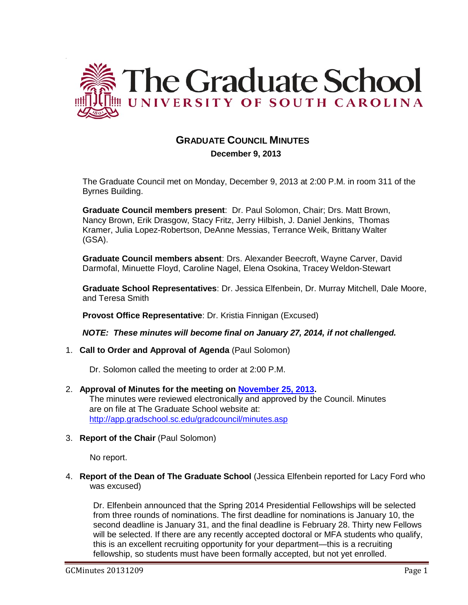

# **GRADUATE COUNCIL MINUTES**

 **December 9, 2013**

The Graduate Council met on Monday, December 9, 2013 at 2:00 P.M. in room 311 of the Byrnes Building.

**Graduate Council members present**: Dr. Paul Solomon, Chair; Drs. Matt Brown, Nancy Brown, Erik Drasgow, Stacy Fritz, Jerry Hilbish, J. Daniel Jenkins, Thomas Kramer, Julia Lopez-Robertson, DeAnne Messias, Terrance Weik, Brittany Walter (GSA).

**Graduate Council members absent**: Drs. Alexander Beecroft, Wayne Carver, David Darmofal, Minuette Floyd, Caroline Nagel, Elena Osokina, Tracey Weldon-Stewart

**Graduate School Representatives**: Dr. Jessica Elfenbein, Dr. Murray Mitchell, Dale Moore, and Teresa Smith

**Provost Office Representative**: Dr. Kristia Finnigan (Excused)

*NOTE: These minutes will become final on January 27, 2014, if not challenged.*

1. **Call to Order and Approval of Agenda** (Paul Solomon)

Dr. Solomon called the meeting to order at 2:00 P.M.

- 2. **Approval of Minutes for the meeting on November 25, 2013.** The minutes were reviewed electronically and approved by the Council. Minutes are on file at The Graduate School website at: <http://app.gradschool.sc.edu/gradcouncil/minutes.asp>
- 3. **Report of the Chair** (Paul Solomon)

No report.

4. **Report of the Dean of The Graduate School** (Jessica Elfenbein reported for Lacy Ford who was excused)

Dr. Elfenbein announced that the Spring 2014 Presidential Fellowships will be selected from three rounds of nominations. The first deadline for nominations is January 10, the second deadline is January 31, and the final deadline is February 28. Thirty new Fellows will be selected. If there are any recently accepted doctoral or MFA students who qualify, this is an excellent recruiting opportunity for your department—this is a recruiting fellowship, so students must have been formally accepted, but not yet enrolled.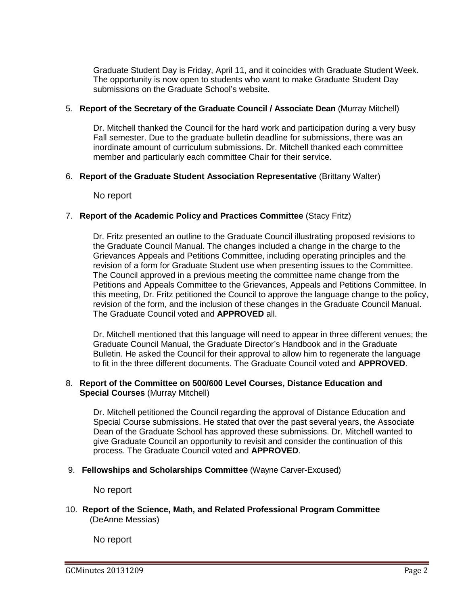Graduate Student Day is Friday, April 11, and it coincides with Graduate Student Week. The opportunity is now open to students who want to make Graduate Student Day submissions on the Graduate School's website.

## 5. **Report of the Secretary of the Graduate Council / Associate Dean** (Murray Mitchell)

Dr. Mitchell thanked the Council for the hard work and participation during a very busy Fall semester. Due to the graduate bulletin deadline for submissions, there was an inordinate amount of curriculum submissions. Dr. Mitchell thanked each committee member and particularly each committee Chair for their service.

## 6. **Report of the Graduate Student Association Representative** (Brittany Walter)

No report

# 7. **Report of the Academic Policy and Practices Committee** (Stacy Fritz)

Dr. Fritz presented an outline to the Graduate Council illustrating proposed revisions to the Graduate Council Manual. The changes included a change in the charge to the Grievances Appeals and Petitions Committee, including operating principles and the revision of a form for Graduate Student use when presenting issues to the Committee. The Council approved in a previous meeting the committee name change from the Petitions and Appeals Committee to the Grievances, Appeals and Petitions Committee. In this meeting, Dr. Fritz petitioned the Council to approve the language change to the policy, revision of the form, and the inclusion of these changes in the Graduate Council Manual. The Graduate Council voted and **APPROVED** all.

Dr. Mitchell mentioned that this language will need to appear in three different venues; the Graduate Council Manual, the Graduate Director's Handbook and in the Graduate Bulletin. He asked the Council for their approval to allow him to regenerate the language to fit in the three different documents. The Graduate Council voted and **APPROVED**.

# 8. **Report of the Committee on 500/600 Level Courses, Distance Education and Special Courses** (Murray Mitchell)

Dr. Mitchell petitioned the Council regarding the approval of Distance Education and Special Course submissions. He stated that over the past several years, the Associate Dean of the Graduate School has approved these submissions. Dr. Mitchell wanted to give Graduate Council an opportunity to revisit and consider the continuation of this process. The Graduate Council voted and **APPROVED**.

### 9. **Fellowships and Scholarships Committee** (Wayne Carver-Excused)

No report

10. **Report of the Science, Math, and Related Professional Program Committee** (DeAnne Messias)

No report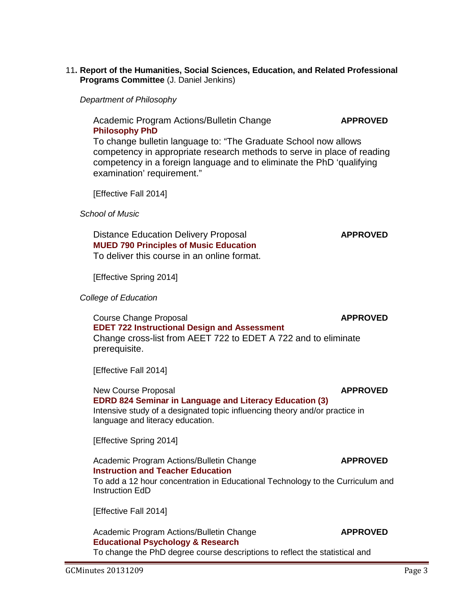### 11**. Report of the Humanities, Social Sciences, Education, and Related Professional Programs Committee** (J. Daniel Jenkins)

*Department of Philosophy*

Academic Program Actions/Bulletin Change **APPROVED [Philosophy PhD](http://gradschool.sc.edu/facstaff/gradcouncil/2013/Phiosophy%20PhD%20APA-BCH.pdf)**

To change bulletin language to: "The Graduate School now allows competency in appropriate research methods to serve in place of reading competency in a foreign language and to eliminate the PhD 'qualifying examination' requirement."

[Effective Fall 2014]

*School of Music*

Distance Education Delivery Proposal **APPROVED [MUED 790 Principles of Music Education](http://gradschool.sc.edu/facstaff/gradcouncil/2013/MUED%20790%20DED_Redacted.pdf)** To deliver this course in an online format.

[Effective Spring 2014]

 *College of Education*

**Course Change Proposal APPROVED [EDET 722 Instructional Design and Assessment](http://gradschool.sc.edu/facstaff/gradcouncil/2013/EDET%20722_Redacted.pdf)** Change cross-list from AEET 722 to EDET A 722 and to eliminate prerequisite.

[Effective Fall 2014]

New Course Proposal **APPROVED [EDRD 824 Seminar in Language and Literacy Education](http://gradschool.sc.edu/facstaff/gradcouncil/2013/EDRD%20824%20NCP_Redacted.pdf) (3)** Intensive study of a designated topic influencing theory and/or practice in language and literacy education.

[Effective Spring 2014]

Academic Program Actions/Bulletin Change **APPROVED [Instruction and Teacher Education](http://gradschool.sc.edu/facstaff/gradcouncil/2013/ITE%20Concentration_Redacted.pdf)**

To add a 12 hour concentration in Educational Technology to the Curriculum and Instruction EdD

[Effective Fall 2014]

Academic Program Actions/Bulletin Change **APPROVED Educational Psychology [& Research](http://gradschool.sc.edu/facstaff/gradcouncil/2013/Ed%20Psyc%20and%20Research%20Bulletin%20Editing%20Redacted.pdf)**  To change the PhD degree course descriptions to reflect the statistical and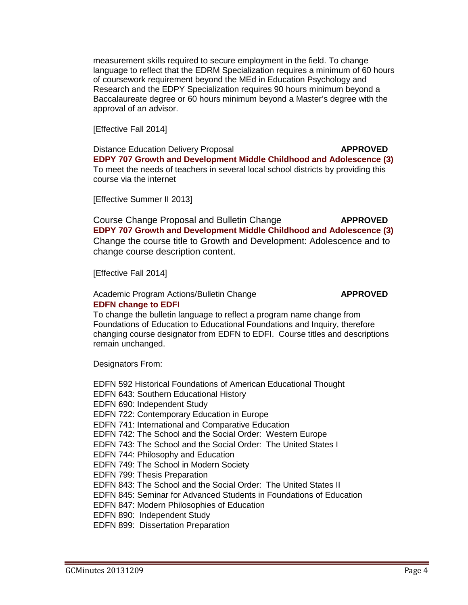measurement skills required to secure employment in the field. To change language to reflect that the EDRM Specialization requires a minimum of 60 hours of coursework requirement beyond the MEd in Education Psychology and Research and the EDPY Specialization requires 90 hours minimum beyond a Baccalaureate degree or 60 hours minimum beyond a Master's degree with the approval of an advisor.

[Effective Fall 2014]

Distance Education Delivery Proposal **APPROVED [EDPY 707 Growth and Development Middle Childhood and Adolescence](http://gradschool.sc.edu/facstaff/gradcouncil/2013/EDPY%20707%20DED_Redacted.pdf) (3)** To meet the needs of teachers in several local school districts by providing this course via the internet

[Effective Summer II 2013]

Course Change Proposal and Bulletin Change **APPROVED EDPY 707 Growth [and Development Middle Childhood and Adolescence \(](http://gradschool.sc.edu/facstaff/gradcouncil/2013/EDPY%20707%20CCP%20Redacted.pdf)3)** Change the course title to Growth and Development: Adolescence and to change course description content.

[Effective Fall 2014]

### Academic Program Actions/Bulletin Change **APPROVED [EDFN change to EDFI](http://gradschool.sc.edu/facstaff/gradcouncil/2013/EDFN%20Foundations%20change%20to%20EDFI%20_Redacted.pdf)**

To change the bulletin language to reflect a program name change from Foundations of Education to Educational Foundations and Inquiry, therefore changing course designator from EDFN to EDFI. Course titles and descriptions remain unchanged.

Designators From:

EDFN 592 Historical Foundations of American Educational Thought EDFN 643: Southern Educational History EDFN 690: Independent Study EDFN 722: Contemporary Education in Europe EDFN 741: International and Comparative Education EDFN 742: The School and the Social Order: Western Europe EDFN 743: The School and the Social Order: The United States I EDFN 744: Philosophy and Education EDFN 749: The School in Modern Society EDFN 799: Thesis Preparation EDFN 843: The School and the Social Order: The United States II EDFN 845: Seminar for Advanced Students in Foundations of Education EDFN 847: Modern Philosophies of Education EDFN 890: Independent Study EDFN 899: Dissertation Preparation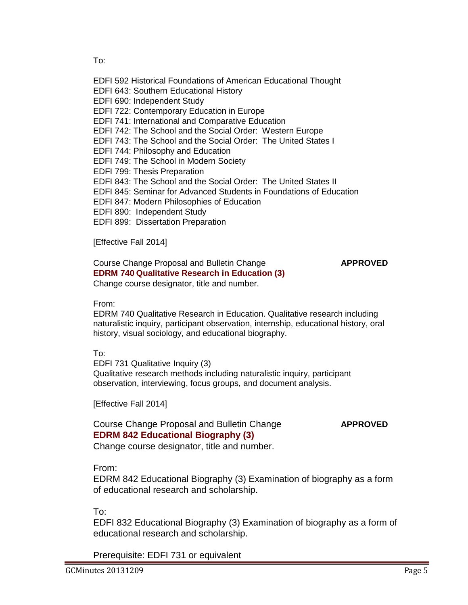To:

- EDFI 592 Historical Foundations of American Educational Thought
- EDFI 643: Southern Educational History
- EDFI 690: Independent Study
- EDFI 722: Contemporary Education in Europe
- EDFI 741: International and Comparative Education
- EDFI 742: The School and the Social Order: Western Europe
- EDFI 743: The School and the Social Order: The United States I
- EDFI 744: Philosophy and Education
- EDFI 749: The School in Modern Society
- EDFI 799: Thesis Preparation
- EDFI 843: The School and the Social Order: The United States II
- EDFI 845: Seminar for Advanced Students in Foundations of Education
- EDFI 847: Modern Philosophies of Education
- EDFI 890: Independent Study
- EDFI 899: Dissertation Preparation

[Effective Fall 2014]

## Course Change Proposal and Bulletin Change **APPROVED EDRM 740 [Qualitative Research in Education](http://gradschool.sc.edu/facstaff/gradcouncil/2013/EDRM%20740%20to%20EDFI%20731_Redacted.pdf) (3)** Change course designator, title and number.

From:

EDRM 740 Qualitative Research in Education. Qualitative research including naturalistic inquiry, participant observation, internship, educational history, oral history, visual sociology, and educational biography.

# To:

EDFI 731 Qualitative Inquiry (3) Qualitative research methods including naturalistic inquiry, participant observation, interviewing, focus groups, and document analysis.

[Effective Fall 2014]

# Course Change Proposal and Bulletin Change **APPROVED [EDRM 842 Educational Biography \(3\)](http://gradschool.sc.edu/facstaff/gradcouncil/2013/EDRM%20842%20to%20EDFI%20832_Redacted.pdf)**

Change course designator, title and number.

# From:

EDRM 842 Educational Biography (3) Examination of biography as a form of educational research and scholarship.

To:

EDFI 832 Educational Biography (3) Examination of biography as a form of educational research and scholarship.

Prerequisite: EDFI 731 or equivalent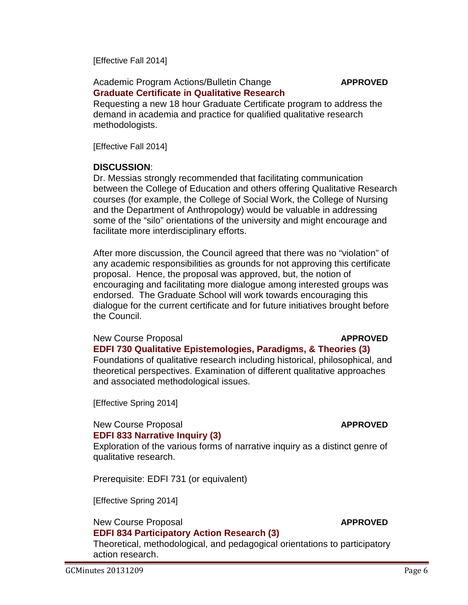[Effective Fall 2014]

# Academic Program Actions/Bulletin Change **APPROVED [Graduate Certificate in Qualitative Research](http://gradschool.sc.edu/facstaff/gradcouncil/2013/Certificate%20in%20Qualitative%20Research_Redacted.pdf)**

Requesting a new 18 hour Graduate Certificate program to address the demand in academia and practice for qualified qualitative research methodologists.

[Effective Fall 2014]

# **DISCUSSION**:

Dr. Messias strongly recommended that facilitating communication between the College of Education and others offering Qualitative Research courses (for example, the College of Social Work, the College of Nursing and the Department of Anthropology) would be valuable in addressing some of the "silo" orientations of the university and might encourage and facilitate more interdisciplinary efforts.

After more discussion, the Council agreed that there was no "violation" of any academic responsibilities as grounds for not approving this certificate proposal. Hence, the proposal was approved, but, the notion of encouraging and facilitating more dialogue among interested groups was endorsed. The Graduate School will work towards encouraging this dialogue for the current certificate and for future initiatives brought before the Council.

# New Course Proposal **APPROVED**

**[EDFI 730 Qualitative Epistemologies, Paradigms, & Theories](http://gradschool.sc.edu/facstaff/gradcouncil/2013/EDFI%20730%20NCP_Redacted.pdf) (3)** Foundations of qualitative research including historical, philosophical, and theoretical perspectives. Examination of different qualitative approaches and associated methodological issues.

[Effective Spring 2014]

# New Course Proposal **APPROVED [EDFI 833 Narrative Inquiry](http://gradschool.sc.edu/facstaff/gradcouncil/2013/EDFI%20833%20NCP_Redacted.pdf) (3)**

Exploration of the various forms of narrative inquiry as a distinct genre of qualitative research.

Prerequisite: EDFI 731 (or equivalent)

[Effective Spring 2014]

# New Course Proposal **APPROVED**

# **[EDFI 834 Participatory Action Research](http://gradschool.sc.edu/facstaff/gradcouncil/2013/EDFI%20834%20NCP_Redacted.pdf) (3)**

Theoretical, methodological, and pedagogical orientations to participatory action research.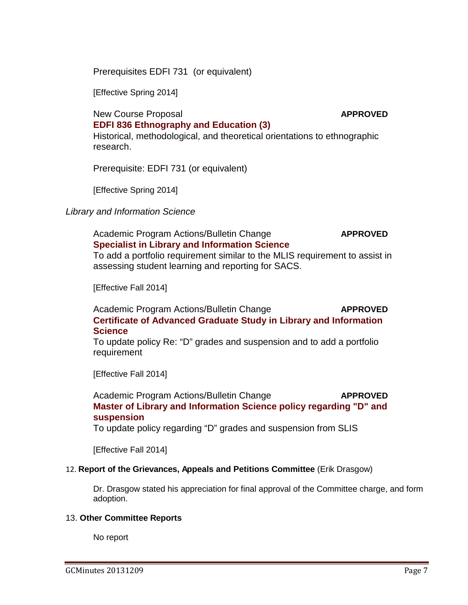Prerequisites EDFI 731 (or equivalent)

[Effective Spring 2014]

New Course Proposal **APPROVED**

# **[EDFI 836 Ethnography and Education](http://gradschool.sc.edu/facstaff/gradcouncil/2013/EDFI%20836%20NCP_Redacted.pdf) (3)**

Historical, methodological, and theoretical orientations to ethnographic research.

Prerequisite: EDFI 731 (or equivalent)

[Effective Spring 2014]

# *Library and Information Science*

Academic Program Actions/Bulletin Change **APPROVED [Specialist in Library and Information Science](http://gradschool.sc.edu/facstaff/gradcouncil/2013/Specialist%20in%20Library%20and%20Information%20Sciences_Redacted.pdf)**

To add a portfolio requirement similar to the MLIS requirement to assist in assessing student learning and reporting for SACS.

[Effective Fall 2014]

Academic Program Actions/Bulletin Change **APPROVED [Certificate of Advanced Graduate Study in Library and Information](http://gradschool.sc.edu/facstaff/gradcouncil/2013/Certificate%20in%20Library%20and%20Information%20Science_Redacted.pdf)  [Science](http://gradschool.sc.edu/facstaff/gradcouncil/2013/Certificate%20in%20Library%20and%20Information%20Science_Redacted.pdf)** 

To update policy Re: "D" grades and suspension and to add a portfolio requirement

[Effective Fall 2014]

Academic Program Actions/Bulletin Change **APPROVED [Master of Library and Information Science policy regarding "D" and](http://gradschool.sc.edu/facstaff/gradcouncil/2013/Master%20of%20Library%20and%20Information%20Science_Redacted.pdf)  [suspension](http://gradschool.sc.edu/facstaff/gradcouncil/2013/Master%20of%20Library%20and%20Information%20Science_Redacted.pdf)**

To update policy regarding "D" grades and suspension from SLIS

[Effective Fall 2014]

# 12. **Report of the Grievances, Appeals and Petitions Committee** (Erik Drasgow)

Dr. Drasgow stated his appreciation for final approval of the Committee charge, and form adoption.

### 13. **Other Committee Reports**

No report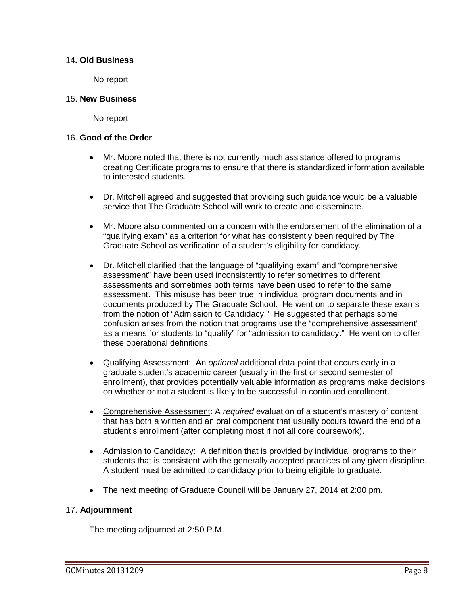## 14**. Old Business**

No report

### 15. **New Business**

No report

### 16. **Good of the Order**

- Mr. Moore noted that there is not currently much assistance offered to programs creating Certificate programs to ensure that there is standardized information available to interested students.
- Dr. Mitchell agreed and suggested that providing such guidance would be a valuable service that The Graduate School will work to create and disseminate.
- Mr. Moore also commented on a concern with the endorsement of the elimination of a "qualifying exam" as a criterion for what has consistently been required by The Graduate School as verification of a student's eligibility for candidacy.
- Dr. Mitchell clarified that the language of "qualifying exam" and "comprehensive assessment" have been used inconsistently to refer sometimes to different assessments and sometimes both terms have been used to refer to the same assessment. This misuse has been true in individual program documents and in documents produced by The Graduate School. He went on to separate these exams from the notion of "Admission to Candidacy." He suggested that perhaps some confusion arises from the notion that programs use the "comprehensive assessment" as a means for students to "qualify" for "admission to candidacy." He went on to offer these operational definitions:
- Qualifying Assessment: An *optional* additional data point that occurs early in a graduate student's academic career (usually in the first or second semester of enrollment), that provides potentially valuable information as programs make decisions on whether or not a student is likely to be successful in continued enrollment.
- Comprehensive Assessment: A *required* evaluation of a student's mastery of content that has both a written and an oral component that usually occurs toward the end of a student's enrollment (after completing most if not all core coursework).
- Admission to Candidacy: A definition that is provided by individual programs to their students that is consistent with the generally accepted practices of any given discipline. A student must be admitted to candidacy prior to being eligible to graduate.
- The next meeting of Graduate Council will be January 27, 2014 at 2:00 pm.

# 17. **Adjournment**

The meeting adjourned at 2:50 P.M.